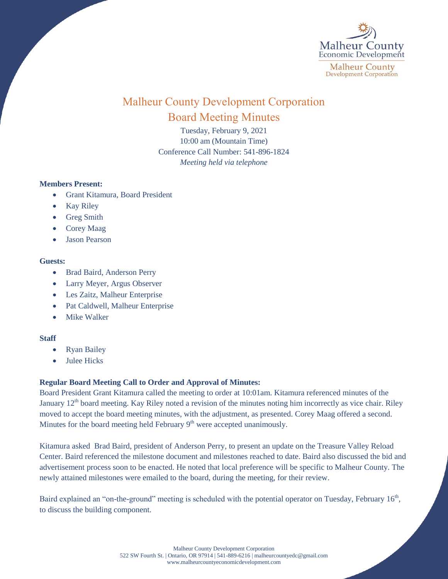

# Malheur County Development Corporation Board Meeting Minutes

Tuesday, February 9, 2021 10:00 am (Mountain Time) Conference Call Number: 541-896-1824 *Meeting held via telephone*

## **Members Present:**

- Grant Kitamura, Board President
- Kay Riley
- Greg Smith
- Corey Maag
- Jason Pearson

#### **Guests:**

- Brad Baird, Anderson Perry
- Larry Meyer, Argus Observer
- Les Zaitz, Malheur Enterprise
- Pat Caldwell, Malheur Enterprise
- Mike Walker

## **Staff**

- Ryan Bailey
- Julee Hicks

# **Regular Board Meeting Call to Order and Approval of Minutes:**

Board President Grant Kitamura called the meeting to order at 10:01am. Kitamura referenced minutes of the January  $12<sup>th</sup>$  board meeting. Kay Riley noted a revision of the minutes noting him incorrectly as vice chair. Riley moved to accept the board meeting minutes, with the adjustment, as presented. Corey Maag offered a second. Minutes for the board meeting held February  $9<sup>th</sup>$  were accepted unanimously.

Kitamura asked Brad Baird, president of Anderson Perry, to present an update on the Treasure Valley Reload Center. Baird referenced the milestone document and milestones reached to date. Baird also discussed the bid and advertisement process soon to be enacted. He noted that local preference will be specific to Malheur County. The newly attained milestones were emailed to the board, during the meeting, for their review.

Baird explained an "on-the-ground" meeting is scheduled with the potential operator on Tuesday, February 16<sup>th</sup>, to discuss the building component.